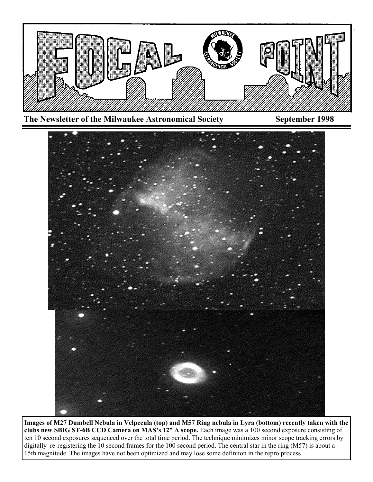



**Images of M27 Dumbell Nebula in Velpecula (top) and M57 Ring nebula in Lyra (bottom) recently taken with the clubs new SBIG ST-6B CCD Camera on MAS's 12" A scope.** Each image was a 100 second exposure consisting of ten 10 second exposures sequenced over the total time period. The technique minimizes minor scope tracking errors by digitally re-registering the 10 second frames for the 100 second period. The central star in the ring (M57) is about a 15th magnitude. The images have not been optimized and may lose some definiton in the repro process.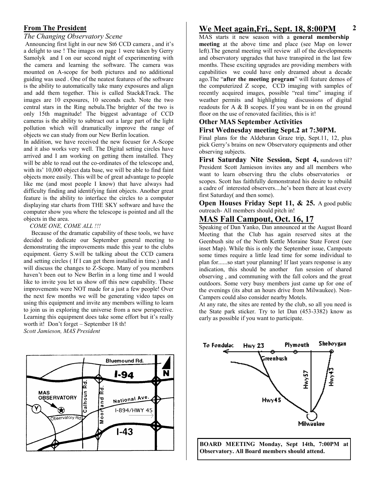## **From The President**

*The Changing Observatory Scene*

Announcing first light in our new St6 CCD camera , and it's a delight to use ! The images on page 1 were taken by Gerry Samolyk and I on our second night of experimenting with the camera and learning the software. The camera was mounted on A-scope for both pictures and no additional guiding was used . One of the neatest features of the software is the ability to automatically take many exposures and align and add them together. This is called Stack&Track. The images are 10 exposures, 10 seconds each. Note the two central stars in the Ring nebula.The brighter of the two is only 15th magnitude! The biggest advantage of CCD cameras is the ability to subtract out a large part of the light pollution which will dramatically improve the range of objects we can study from our New Berlin location.

In addition, we have received the new focuser for A-Scope and it also works very well. The Digital setting circles have arrived and I am working on getting them installed. They will be able to read out the co-ordinates of the telescope and, with its' 10,000 object data base, we will be able to find faint objects more easily. This will be of great advantage to people like me (and most people I know) that have always had difficulty finding and identifying faint objects. Another great feature is the ability to interface the circles to a computer displaying star charts from THE SKY software and have the computer show you where the telescope is pointed and all the objects in the area.

#### *COME ONE, COME ALL !!!*

 Because of the dramatic capability of these tools, we have decided to dedicate our September general meeting to demonstrating the improvements made this year to the clubs equipment. Gerry S.will be talking about the CCD camera and setting circles ( If I can get them installed in time.) and I will discuss the changes to Z-Scope. Many of you members haven't been out to New Berlin in a long time and I would like to invite you let us show off this new capability. These improvements were NOT made for a just a few people! Over the next few months we will be generating video tapes on using this equipment and invite any members willing to learn to join us in exploring the universe from a new perspective. Learning this equipment does take some effort but it's really worth it! Don't forget – September 18 th! *Scott Jamieson, MAS President*



# **We Meet again,Fri., Sept. 18, 8:00PM**

MAS starts it new season with a **general membership meeting** at the above time and place (see Map on lower left).The general meeting will review all of the developments and observatory upgrades that have transpired in the last few months. These exciting upgrades are providing members with capabilities we could have only dreamed about a decade ago.The "**after the meeting program**" will feature demos of the computerized Z scope, CCD imaging with samples of recently acquired images, possible "real time" imaging if weather permits and highlighting discussions of digital readouts for A & B scopes. If you want be in on the ground floor on the use of renovated facilities, this is it!

#### **Other MAS September Activities**

## **First Wednesday meeting Sept.2 at 7:30PM.**

Final plans for the Aldebaran Graze trip, Sept.11, 12, plus pick Gerry's brains on new Observatory equipments and other observing subjects.

**First Saturday Nite Session, Sept 4,** sundown til? President Scott Jamieson invites any and all members who want to learn observing thru the clubs observatories or scopes. Scott has faithfully demonstrated his desire to rebuild a cadre of interested observers....he's been there at least every first Saturday( and then some).

**Open Houses Friday Sept 11, & 25.** A good public outreach- All members should pitch in!

## **MAS Fall Campout, Oct. 16, 17**

Speaking of Dan Yanko, Dan announced at the August Board Meeting that the Club has again reserved sites at the Geenbush site of the North Kettle Moraine State Forest (see inset Map). While this is only the September issue, Campouts some times require a little lead time for some individual to plan for......so start your planning! If last years response is any indication, this should be another fun session of shared observing , and communing with the fall colors and the great outdoors. Some very busy members just came up for one of the evenings (its abut an hours drive from Milwaukee). Non-Campers could also consider nearby Motels.

At any rate, the sites are rented by the club, so all you need is the State park sticker. Try to let Dan (453-3382) know as early as possible if you want to participate.



**BOARD MEETING Monday, Sept 14th, 7:00PM at Observatory. All Board members should attend.**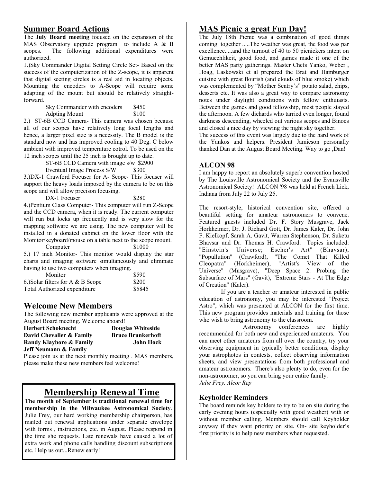The **July Board meeting** focused on the expansion of the MAS Observatory upgrade program to include A & B scopes. The following additional expenditures were authorized.

1.)Sky Commander Digital Setting Circle Set- Based on the success of the computerization of the Z-scope, it is apparent that digital seeting circles is a real aid in locating objects. Mounting the encoders to A-Scope will require some adapting of the mount but should be relatively straightforward.

> Sky Commander with encoders \$450<br>Adoting Mount \$100 Adpting Mount

2.) ST-6B CCD Camera- This camera was chosen because all of our scopes have relatively long focal lengths and hence, a larger pixel size is a necessity. The B model is the standard now and has improved cooling to 40 Deg. C below ambient with improved temperature cotrol. To be used on the 12 inch scopes until the 25 inch is brought up to date.

ST-6B CCD Camera with image s/w \$2900

Eventual Image Process S/W \$300 3.)DX-1 Crawford Focuser for A- Scope- This focuser will

support the heavy loads imposed by the camera to be on this scope and will allow precison focusing.

DX-1 Focuser \$280

4.)Pentium Class Computer- This computer will run Z-Scope and the CCD camera, when it is ready. The current computer will run but locks up frequently and is very slow for the mapping software we are using. The new computer will be installed in a donated cabinet on the lower floor with the Monitor/keyboard/mouse on a table next to the scope mount.

Computer \$1000

5.) 17 inch Monitor- This monitor would display the star charts and imaging software simultaneously and eliminate having to use two computers when imaging.

| Monitor                              | \$590  |
|--------------------------------------|--------|
| 6.) Solar filters for A $\&$ B Scope | \$200  |
| Total Authorized expenditure         | \$5845 |

# **Welcome New Members**

The following new member applicants were approved at the August Board meeting. Welcome aboard!

**Herbert Schoknecht Douglas Whiteside David Chevalier & Family Bruce Brunkerhoft Randy Klaybore & Family John Hock Jeff Neumann & Family**

Please join us at the next monthly meeting . MAS members, please make these new members feel welcome!

# **Membership Renewal Time**

**The month of September is traditional renewal time for membership in the Milwaukee Astronomical Society**. Julie Frey, our hard working membership chairperson, has mailed out renewal applications under separate envelope with forms , instructions, etc. in August. Please respond in the time she requests. Late renewals have caused a lot of extra work and phone calls handling discount subscriptions etc. Help us out...Renew early!

# **Summer Board Actions 3 MAS Picnic a great Fun Day!**

The July 18th Picnic was a combination of good things coming together .....The weather was great, the food was par excellence.....and the turnout of 40 to 50 picnickers intent on Gemuechlikeit, good food, and games made it one of the better MAS party gatherings. Master Chefs Yanko, Weber , Hoag, Laskowski et al prepared the Brat and Hamburger cuisine with great flourish (and clouds of blue smoke) which was complemented by "Mother Sentry's" potato salad, chips, desserts etc. It was also a great way to compare astronomy notes under daylight conditions with fellow enthuiasts. Between the games and good fellowship, most people stayed the afternoon. A few diehards who tarried even longer, found darkness descending, wheeled out various scopes and Binocs and closed a nice day by viewing the night sky together.

The success of this event was largely due to the hard work of the Yankos and helpers. President Jamieson personally thanked Dan at the August Board Meeting. Way to go ,Dan!

## **ALCON 98**

I am happy to report an absolutely superb convention hosted by The Louisville Astronomical Society and the Evansville Astronomical Society! ALCON '98 was held at French Lick, Indiana from July 22 to July 25.

The resort-style, historical convention site, offered a beautiful setting for amateur astronomers to convene. Featured guests included Dr. F. Story Musgrave, Jack Horkheimer, Dr. J. Richard Gott, Dr. James Kaler, Dr. John F. Kielkopf, Sarah A. Gavit, Warren Stephenson, Dr. Suketu Bhavsar and Dr. Thomas H. Crawford. Topics included: "Einstein's Universe; Escher's Art" (Bhavsar), "Popullution" (Crawford), "The Comet That Killed Cleopatra" (Horkheimer), "Artist's View of the Universe" (Musgrave), "Deep Space 2: Probing the Subsurface of Mars" (Gavit), "Extreme Stars - At The Edge of Creation" (Kaler).

If you are a teacher or amateur interested in public education of astronomy, you may be interested "Project Astro", which was presented at ALCON for the first time. This new program provides materials and training for those who wish to bring astronomy to the classroom.

Astronomy conferences are highly recommended for both new and experienced amateurs. You can meet other amateurs from all over the country, try your observing equipment in typically better conditions, display your astrophotos in contests, collect observing information sheets, and view presentations from both professional and amateur astronomers. There's also plenty to do, even for the non-astronomer, so you can bring your entire family. *Julie Frey, Alcor Rep*

## **Keyholder Reminders**

The board reminds key holders to try to be on site during the early evening hours (especially with good weather) with or without member calling. Members should call Keyholder anyway if they want priority on site. On- site keyholder's first priority is to help new members when requested.